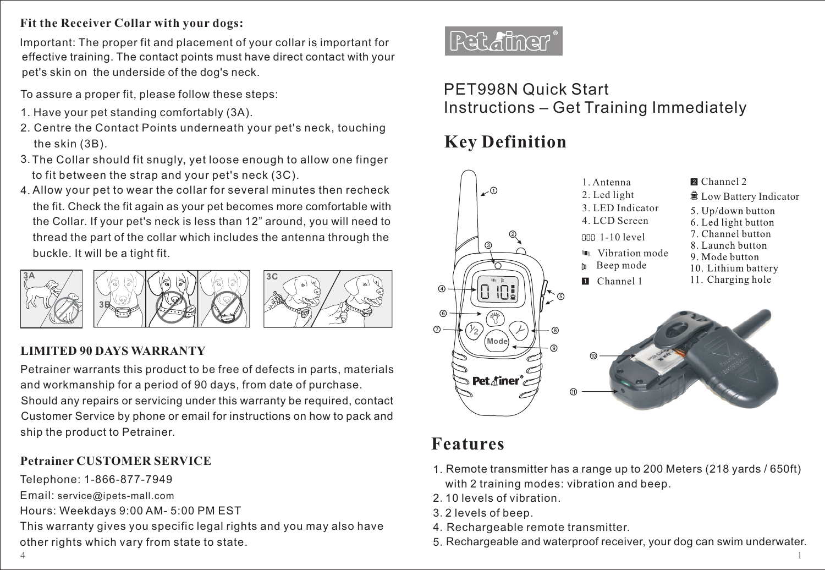## **Fit the Receiver Collar with your dogs:**

effective training. The contact points must have direct contact with your pet's skin on the underside of the dog's neck. Important: The proper fit and placement of your collar is important for

To assure a proper fit, please follow these steps:

- 1. Have your pet standing comfortably (3A).
- 2. Centre the Contact Points underneath your pet's neck, touching the skin (3B).
- 3. The Collar should fit snugly, yet loose enough to allow one finger to fit between the strap and your pet's neck (3C).
- 4. Allow your pet to wear the collar for several minutes then recheck thread the part of the collar which includes the antenna through the buckle. It will be a tight fit. the fit. Check the fit again as your pet becomes more comfortable with the Collar. If your pet's neck is less than 12" around, you will need to



## **LIMITED 90 DAYS WARRANTY**

Petrainer warrants this product to be free of defects in parts, materials and workmanship for a period of 90 days, from date of purchase.

ship the product to Petrainer. Should any repairs or servicing under this warranty be required, contact Customer Service by phone or email for instructions on how to pack and

## **Petrainer CUSTOMER SERVICE**

Telephone: 1-866-877-7949

Email: service@ipets-mall.com

Hours: Weekdays 9:00 AM- 5:00 PM EST

This warranty gives you specific legal rights and you may also have other rights which vary from state to state.



## PET998N Quick Start Instructions – Get Training Immediately

# **Key Definition**



## **Features**

- 1. Remote transmitter has a range up to 200 Meters (218 yards / 650ft) with 2 training modes: vibration and beep.
- 2.10 levels of vibration.
- 3.2 levels of beep.
- 4.Rechargeable remote transmitter.
- 5. Rechargeable and waterproof receiver, your dog can swim underwater.